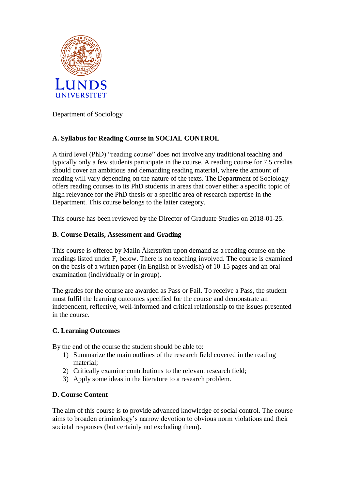

Department of Sociology

# **A. Syllabus for Reading Course in SOCIAL CONTROL**

A third level (PhD) "reading course" does not involve any traditional teaching and typically only a few students participate in the course. A reading course for 7,5 credits should cover an ambitious and demanding reading material, where the amount of reading will vary depending on the nature of the texts. The Department of Sociology offers reading courses to its PhD students in areas that cover either a specific topic of high relevance for the PhD thesis or a specific area of research expertise in the Department. This course belongs to the latter category.

This course has been reviewed by the Director of Graduate Studies on 2018-01-25.

## **B. Course Details, Assessment and Grading**

This course is offered by Malin Åkerström upon demand as a reading course on the readings listed under F, below. There is no teaching involved. The course is examined on the basis of a written paper (in English or Swedish) of 10-15 pages and an oral examination (individually or in group).

The grades for the course are awarded as Pass or Fail. To receive a Pass, the student must fulfil the learning outcomes specified for the course and demonstrate an independent, reflective, well-informed and critical relationship to the issues presented in the course.

### **C. Learning Outcomes**

By the end of the course the student should be able to:

- 1) Summarize the main outlines of the research field covered in the reading material;
- 2) Critically examine contributions to the relevant research field;
- 3) Apply some ideas in the literature to a research problem.

### **D. Course Content**

The aim of this course is to provide advanced knowledge of social control. The course aims to broaden criminology's narrow devotion to obvious norm violations and their societal responses (but certainly not excluding them).